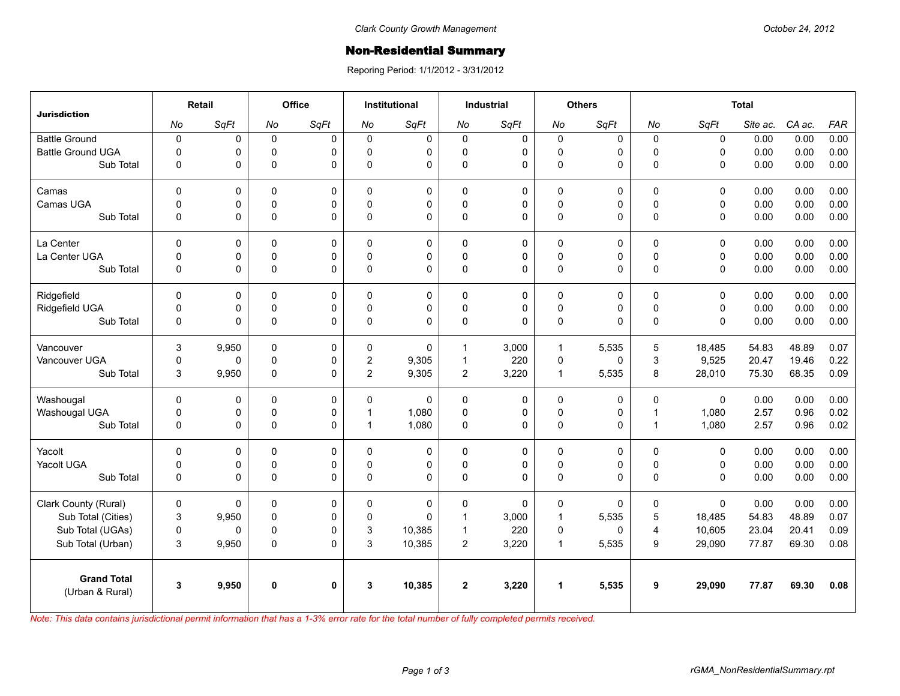## **Non-Residential Summary**

Reporing Period: 1/1/2012 - 3/31/2012

| <b>Jurisdiction</b>                   | Retail         |       | Office      |              | <b>Institutional</b> |             | <b>Industrial</b> |             | <b>Others</b> |             | <b>Total</b>   |             |          |        |            |
|---------------------------------------|----------------|-------|-------------|--------------|----------------------|-------------|-------------------|-------------|---------------|-------------|----------------|-------------|----------|--------|------------|
|                                       | No             | SqFt  | <b>No</b>   | SqFt         | No                   | SqFt        | No                | SqFt        | No            | SqFt        | No             | SqFt        | Site ac. | CA ac. | <b>FAR</b> |
| <b>Battle Ground</b>                  | $\pmb{0}$      | 0     | $\mathbf 0$ | $\Omega$     | $\Omega$             | $\mathbf 0$ | $\mathbf 0$       | $\mathbf 0$ | $\mathbf 0$   | 0           | $\mathbf 0$    | $\mathbf 0$ | 0.00     | 0.00   | 0.00       |
| <b>Battle Ground UGA</b>              | $\Omega$       | 0     | $\mathbf 0$ | $\Omega$     | $\Omega$             | 0           | 0                 | 0           | $\mathbf 0$   | 0           | $\Omega$       | $\Omega$    | 0.00     | 0.00   | 0.00       |
| Sub Total                             | 0              | 0     | $\Omega$    | $\Omega$     | $\Omega$             | 0           | 0                 | $\Omega$    | 0             | 0           | $\Omega$       | $\Omega$    | 0.00     | 0.00   | 0.00       |
| Camas                                 | $\Omega$       | 0     | $\Omega$    | $\Omega$     | $\Omega$             | 0           | $\mathbf{0}$      | 0           | 0             | $\Omega$    | $\mathbf{0}$   | $\Omega$    | 0.00     | 0.00   | 0.00       |
| Camas UGA                             | $\mathbf 0$    | 0     | $\pmb{0}$   | 0            | $\Omega$             | 0           | 0                 | 0           | $\pmb{0}$     | 0           | $\pmb{0}$      | 0           | 0.00     | 0.00   | 0.00       |
| Sub Total                             | $\mathbf{0}$   | 0     | $\pmb{0}$   | $\Omega$     | $\Omega$             | 0           | $\mathbf{0}$      | $\Omega$    | 0             | 0           | $\Omega$       | $\Omega$    | 0.00     | 0.00   | 0.00       |
| La Center                             | $\mathbf 0$    | 0     | $\mathbf 0$ | $\mathbf 0$  | $\Omega$             | 0           | $\mathbf 0$       | 0           | 0             | $\mathbf 0$ | $\mathbf 0$    | $\mathbf 0$ | 0.00     | 0.00   | 0.00       |
| La Center UGA                         | $\mathbf 0$    | 0     | $\mathbf 0$ | 0            | $\Omega$             | 0           | 0                 | $\mathbf 0$ | $\mathbf 0$   | 0           | $\mathbf 0$    | $\mathbf 0$ | 0.00     | 0.00   | 0.00       |
| Sub Total                             | $\overline{0}$ | 0     | $\pmb{0}$   | $\Omega$     | $\Omega$             | 0           | 0                 | $\mathbf 0$ | 0             | 0           | $\Omega$       | $\Omega$    | 0.00     | 0.00   | 0.00       |
| Ridgefield                            | $\Omega$       | 0     | 0           | $\Omega$     | $\mathbf{0}$         | 0           | $\mathbf 0$       | $\mathbf 0$ | 0             | 0           | $\mathbf{0}$   | $\Omega$    | 0.00     | 0.00   | 0.00       |
| Ridgefield UGA                        | $\mathbf 0$    | 0     | $\pmb{0}$   | $\mathbf 0$  | $\mathbf{0}$         | 0           | 0                 | 0           | $\pmb{0}$     | 0           | $\pmb{0}$      | $\mathbf 0$ | 0.00     | 0.00   | 0.00       |
| Sub Total                             | $\mathbf 0$    | 0     | $\Omega$    | $\Omega$     | $\Omega$             | 0           | $\mathbf{0}$      | $\Omega$    | $\mathbf 0$   | 0           | $\Omega$       | $\Omega$    | 0.00     | 0.00   | 0.00       |
| Vancouver                             | 3              | 9,950 | $\mathbf 0$ | $\Omega$     | $\Omega$             | $\Omega$    | $\mathbf{1}$      | 3.000       | $\mathbf{1}$  | 5,535       | 5              | 18.485      | 54.83    | 48.89  | 0.07       |
| Vancouver UGA                         | 0              | 0     | $\mathbf 0$ | $\mathbf 0$  | $\overline{2}$       | 9,305       | $\mathbf{1}$      | 220         | $\pmb{0}$     | 0           | 3              | 9,525       | 20.47    | 19.46  | 0.22       |
| Sub Total                             | 3              | 9,950 | $\pmb{0}$   | $\mathbf 0$  | $\overline{2}$       | 9,305       | $\overline{2}$    | 3,220       | $\mathbf{1}$  | 5,535       | 8              | 28,010      | 75.30    | 68.35  | 0.09       |
| Washougal                             | $\mathbf 0$    | 0     | 0           | 0            | $\Omega$             | $\Omega$    | $\mathsf 0$       | 0           | 0             | 0           | 0              | $\Omega$    | 0.00     | 0.00   | 0.00       |
| Washougal UGA                         | $\mathbf 0$    | 0     | $\mathbf 0$ | 0            | 1                    | 1,080       | 0                 | 0           | $\mathbf 0$   | 0           | $\overline{1}$ | 1,080       | 2.57     | 0.96   | 0.02       |
| Sub Total                             | 0              | 0     | $\pmb{0}$   | $\Omega$     | $\mathbf 1$          | 1,080       | 0                 | 0           | $\mathbf 0$   | 0           | $\overline{1}$ | 1,080       | 2.57     | 0.96   | 0.02       |
| Yacolt                                | $\Omega$       | 0     | $\mathbf 0$ | $\Omega$     | $\Omega$             | 0           | $\mathbf 0$       | 0           | $\mathbf 0$   | 0           | $\Omega$       | $\Omega$    | 0.00     | 0.00   | 0.00       |
| Yacolt UGA                            | 0              | 0     | 0           | 0            | $\Omega$             | 0           | 0                 | 0           | $\mathbf 0$   | 0           | $\pmb{0}$      | 0           | 0.00     | 0.00   | 0.00       |
| Sub Total                             | $\mathbf 0$    | 0     | $\Omega$    | $\Omega$     | $\Omega$             | 0           | $\mathbf{0}$      | $\Omega$    | 0             | 0           | $\Omega$       | $\Omega$    | 0.00     | 0.00   | 0.00       |
| Clark County (Rural)                  | $\mathbf 0$    | 0     | $\mathbf 0$ | 0            | 0                    | 0           | $\mathbf 0$       | 0           | 0             | 0           | $\mathbf 0$    | $\mathbf 0$ | 0.00     | 0.00   | 0.00       |
| Sub Total (Cities)                    | 3              | 9,950 | $\mathbf 0$ | $\Omega$     | $\Omega$             | $\Omega$    | $\mathbf{1}$      | 3,000       | $\mathbf{1}$  | 5,535       | $\overline{5}$ | 18,485      | 54.83    | 48.89  | 0.07       |
| Sub Total (UGAs)                      | $\pmb{0}$      | 0     | $\pmb{0}$   | 0            | 3                    | 10,385      | $\mathbf{1}$      | 220         | 0             | $\Omega$    | 4              | 10,605      | 23.04    | 20.41  | 0.09       |
| Sub Total (Urban)                     | 3              | 9,950 | $\pmb{0}$   | $\Omega$     | 3                    | 10,385      | $\overline{c}$    | 3,220       | $\mathbf{1}$  | 5,535       | 9              | 29,090      | 77.87    | 69.30  | 0.08       |
| <b>Grand Total</b><br>(Urban & Rural) | $\mathbf{3}$   | 9,950 | $\mathbf 0$ | $\mathbf{0}$ | 3                    | 10,385      | $\mathbf{2}$      | 3,220       | $\mathbf{1}$  | 5,535       | 9              | 29,090      | 77.87    | 69.30  | 0.08       |
|                                       |                |       |             |              |                      |             |                   |             |               |             |                |             |          |        |            |

*Note: This data contains jurisdictional permit information that has a 1-3% error rate for the total number of fully completed permits received.*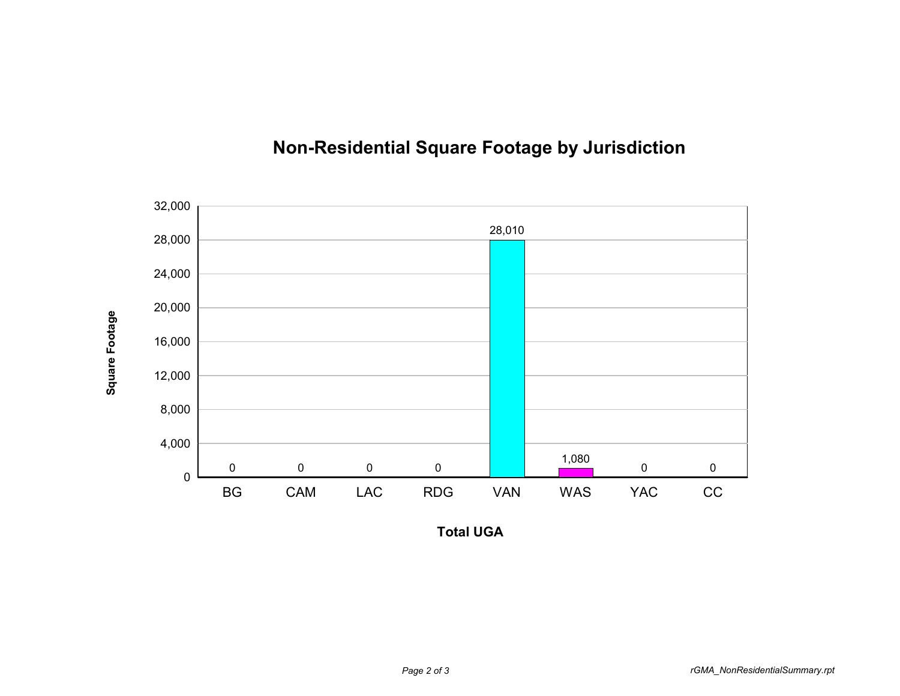

## **Non-Residential Square Footage by Jurisdiction**

**Total UGA**